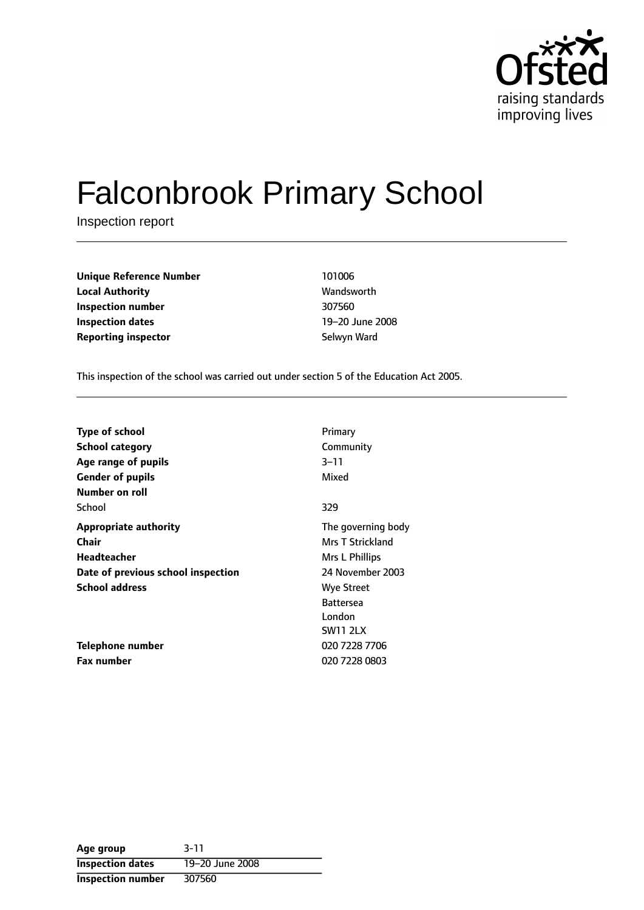

# Falconbrook Primary School

Inspection report

| <b>Unique Reference Number</b> | 101006       |
|--------------------------------|--------------|
| <b>Local Authority</b>         | Wandsworth   |
| Inspection number              | 307560       |
| Inspection dates               | 19–20 June 2 |
| <b>Reporting inspector</b>     | Selwyn Ward  |

**Local Authority** Wandsworth 19-20 June 2008

This inspection of the school was carried out under section 5 of the Education Act 2005.

| <b>Type of school</b>              | Primary                 |
|------------------------------------|-------------------------|
| <b>School category</b>             | Community               |
| Age range of pupils                | $3 - 11$                |
| <b>Gender of pupils</b>            | Mixed                   |
| Number on roll                     |                         |
| School                             | 329                     |
| <b>Appropriate authority</b>       | The governing body      |
| <b>Chair</b>                       | <b>Mrs T Strickland</b> |
| Headteacher                        | Mrs L Phillips          |
| Date of previous school inspection | 24 November 2003        |
| <b>School address</b>              | <b>Wye Street</b>       |
|                                    | <b>Battersea</b>        |
|                                    | London                  |
|                                    | <b>SW11 2LX</b>         |
| Telephone number                   | 020 7228 7706           |
| <b>Fax number</b>                  | 020 7228 0803           |

| Age group                | $3 - 11$        |
|--------------------------|-----------------|
| <b>Inspection dates</b>  | 19-20 June 2008 |
| <b>Inspection number</b> | 307560          |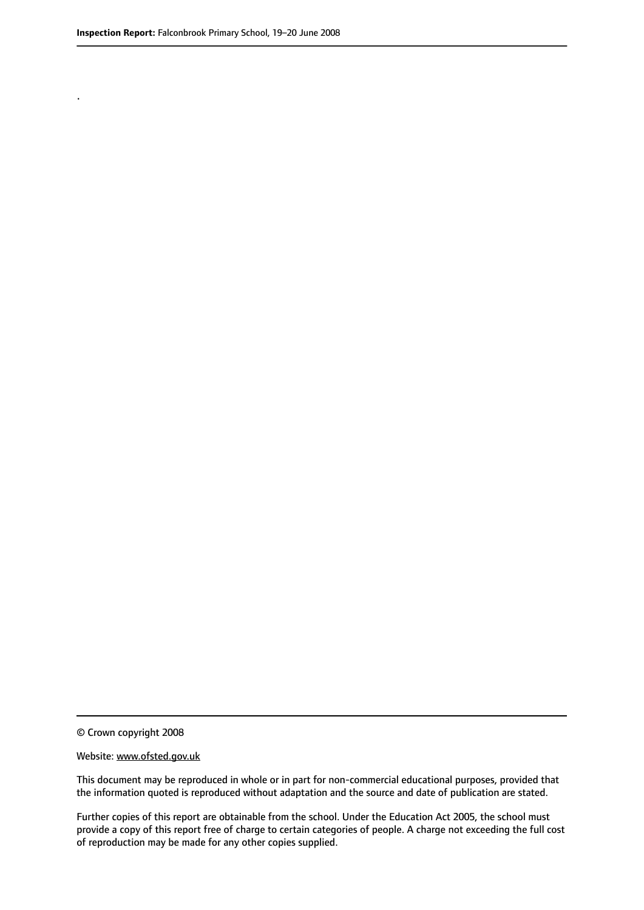.

© Crown copyright 2008

#### Website: www.ofsted.gov.uk

This document may be reproduced in whole or in part for non-commercial educational purposes, provided that the information quoted is reproduced without adaptation and the source and date of publication are stated.

Further copies of this report are obtainable from the school. Under the Education Act 2005, the school must provide a copy of this report free of charge to certain categories of people. A charge not exceeding the full cost of reproduction may be made for any other copies supplied.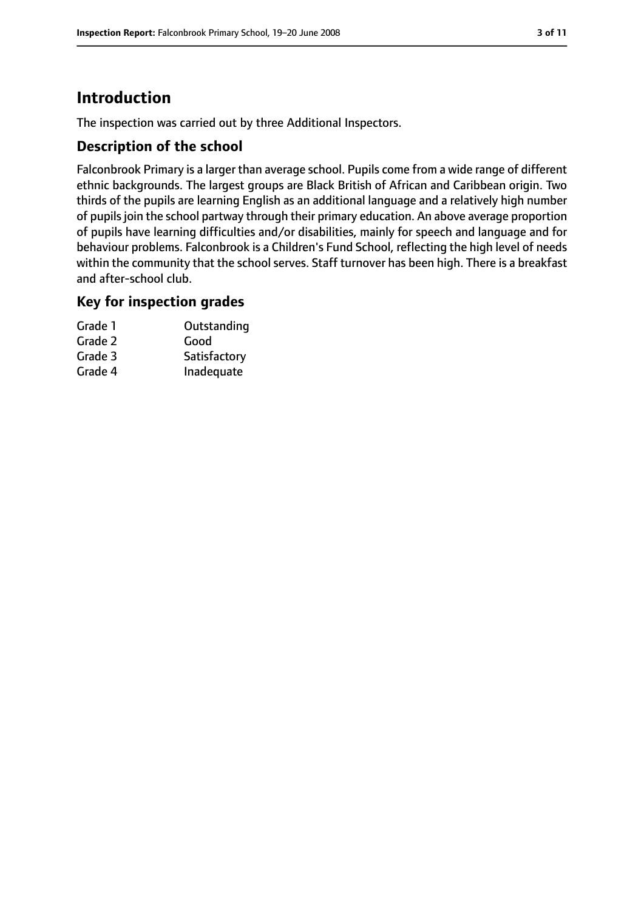# **Introduction**

The inspection was carried out by three Additional Inspectors.

#### **Description of the school**

Falconbrook Primary is a larger than average school. Pupils come from a wide range of different ethnic backgrounds. The largest groups are Black British of African and Caribbean origin. Two thirds of the pupils are learning English as an additional language and a relatively high number of pupils join the school partway through their primary education. An above average proportion of pupils have learning difficulties and/or disabilities, mainly for speech and language and for behaviour problems. Falconbrook is a Children's Fund School, reflecting the high level of needs within the community that the school serves. Staff turnover has been high. There is a breakfast and after-school club.

#### **Key for inspection grades**

| Grade 1 | Outstanding  |
|---------|--------------|
| Grade 2 | Good         |
| Grade 3 | Satisfactory |
| Grade 4 | Inadequate   |
|         |              |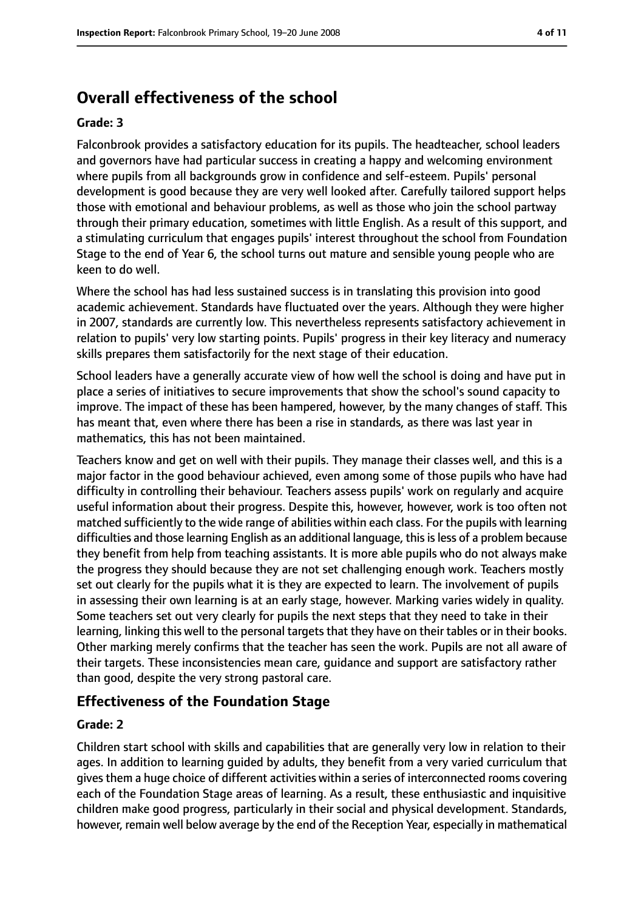# **Overall effectiveness of the school**

#### **Grade: 3**

Falconbrook provides a satisfactory education for its pupils. The headteacher, school leaders and governors have had particular success in creating a happy and welcoming environment where pupils from all backgrounds grow in confidence and self-esteem. Pupils' personal development is good because they are very well looked after. Carefully tailored support helps those with emotional and behaviour problems, as well as those who join the school partway through their primary education, sometimes with little English. As a result of this support, and a stimulating curriculum that engages pupils' interest throughout the school from Foundation Stage to the end of Year 6, the school turns out mature and sensible young people who are keen to do well.

Where the school has had less sustained success is in translating this provision into good academic achievement. Standards have fluctuated over the years. Although they were higher in 2007, standards are currently low. This nevertheless represents satisfactory achievement in relation to pupils' very low starting points. Pupils' progress in their key literacy and numeracy skills prepares them satisfactorily for the next stage of their education.

School leaders have a generally accurate view of how well the school is doing and have put in place a series of initiatives to secure improvements that show the school's sound capacity to improve. The impact of these has been hampered, however, by the many changes of staff. This has meant that, even where there has been a rise in standards, as there was last year in mathematics, this has not been maintained.

Teachers know and get on well with their pupils. They manage their classes well, and this is a major factor in the good behaviour achieved, even among some of those pupils who have had difficulty in controlling their behaviour. Teachers assess pupils' work on regularly and acquire useful information about their progress. Despite this, however, however, work is too often not matched sufficiently to the wide range of abilities within each class. For the pupils with learning difficulties and those learning English as an additional language, this is less of a problem because they benefit from help from teaching assistants. It is more able pupils who do not always make the progress they should because they are not set challenging enough work. Teachers mostly set out clearly for the pupils what it is they are expected to learn. The involvement of pupils in assessing their own learning is at an early stage, however. Marking varies widely in quality. Some teachers set out very clearly for pupils the next steps that they need to take in their learning, linking this well to the personal targets that they have on their tables or in their books. Other marking merely confirms that the teacher has seen the work. Pupils are not all aware of their targets. These inconsistencies mean care, guidance and support are satisfactory rather than good, despite the very strong pastoral care.

## **Effectiveness of the Foundation Stage**

#### **Grade: 2**

Children start school with skills and capabilities that are generally very low in relation to their ages. In addition to learning guided by adults, they benefit from a very varied curriculum that gives them a huge choice of different activities within a series of interconnected rooms covering each of the Foundation Stage areas of learning. As a result, these enthusiastic and inquisitive children make good progress, particularly in their social and physical development. Standards, however, remain well below average by the end of the Reception Year, especially in mathematical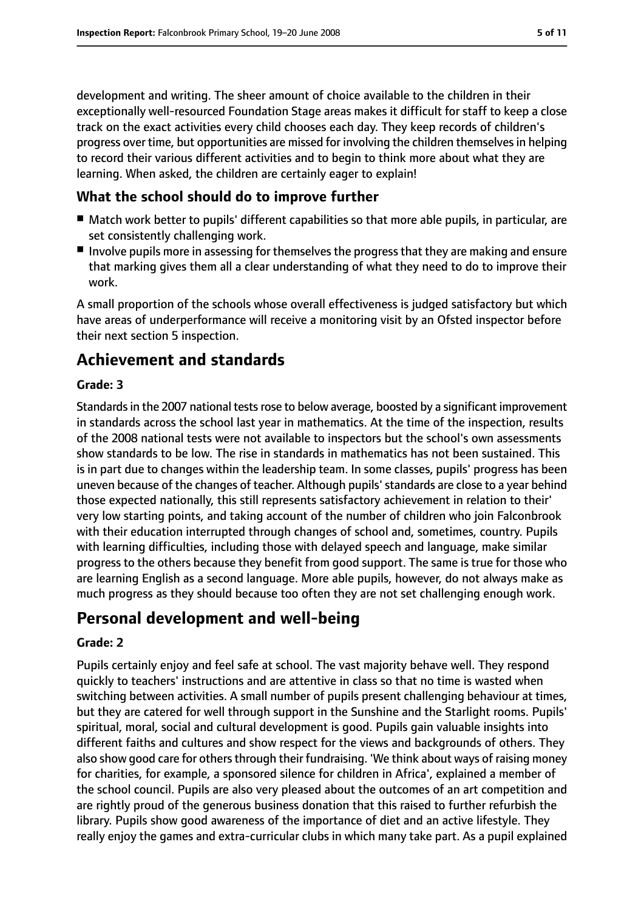development and writing. The sheer amount of choice available to the children in their exceptionally well-resourced Foundation Stage areas makes it difficult for staff to keep a close track on the exact activities every child chooses each day. They keep records of children's progress over time, but opportunities are missed for involving the children themselvesin helping to record their various different activities and to begin to think more about what they are learning. When asked, the children are certainly eager to explain!

## **What the school should do to improve further**

- Match work better to pupils' different capabilities so that more able pupils, in particular, are set consistently challenging work.
- Involve pupils more in assessing for themselves the progress that they are making and ensure that marking gives them all a clear understanding of what they need to do to improve their work.

A small proportion of the schools whose overall effectiveness is judged satisfactory but which have areas of underperformance will receive a monitoring visit by an Ofsted inspector before their next section 5 inspection.

## **Achievement and standards**

#### **Grade: 3**

Standards in the 2007 national tests rose to below average, boosted by a significant improvement in standards across the school last year in mathematics. At the time of the inspection, results of the 2008 national tests were not available to inspectors but the school's own assessments show standards to be low. The rise in standards in mathematics has not been sustained. This is in part due to changes within the leadership team. In some classes, pupils' progress has been uneven because of the changes of teacher. Although pupils'standards are close to a year behind those expected nationally, this still represents satisfactory achievement in relation to their' very low starting points, and taking account of the number of children who join Falconbrook with their education interrupted through changes of school and, sometimes, country. Pupils with learning difficulties, including those with delayed speech and language, make similar progress to the others because they benefit from good support. The same is true for those who are learning English as a second language. More able pupils, however, do not always make as much progress as they should because too often they are not set challenging enough work.

## **Personal development and well-being**

#### **Grade: 2**

Pupils certainly enjoy and feel safe at school. The vast majority behave well. They respond quickly to teachers' instructions and are attentive in class so that no time is wasted when switching between activities. A small number of pupils present challenging behaviour at times, but they are catered for well through support in the Sunshine and the Starlight rooms. Pupils' spiritual, moral, social and cultural development is good. Pupils gain valuable insights into different faiths and cultures and show respect for the views and backgrounds of others. They also show good care for others through their fundraising. 'We think about ways of raising money for charities, for example, a sponsored silence for children in Africa', explained a member of the school council. Pupils are also very pleased about the outcomes of an art competition and are rightly proud of the generous business donation that this raised to further refurbish the library. Pupils show good awareness of the importance of diet and an active lifestyle. They really enjoy the games and extra-curricular clubs in which many take part. As a pupil explained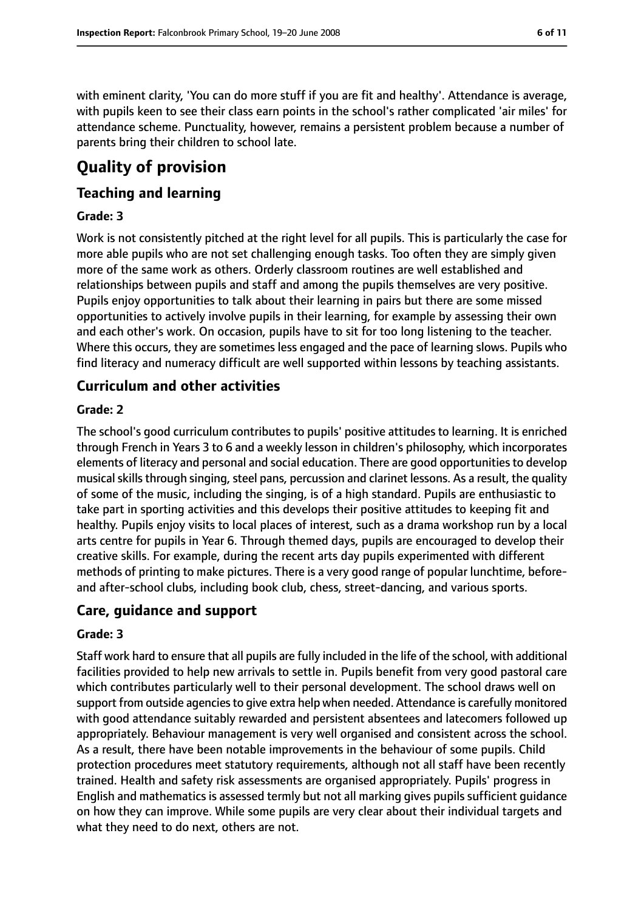with eminent clarity, 'You can do more stuff if you are fit and healthy'. Attendance is average, with pupils keen to see their class earn points in the school's rather complicated 'air miles' for attendance scheme. Punctuality, however, remains a persistent problem because a number of parents bring their children to school late.

# **Quality of provision**

## **Teaching and learning**

#### **Grade: 3**

Work is not consistently pitched at the right level for all pupils. This is particularly the case for more able pupils who are not set challenging enough tasks. Too often they are simply given more of the same work as others. Orderly classroom routines are well established and relationships between pupils and staff and among the pupils themselves are very positive. Pupils enjoy opportunities to talk about their learning in pairs but there are some missed opportunities to actively involve pupils in their learning, for example by assessing their own and each other's work. On occasion, pupils have to sit for too long listening to the teacher. Where this occurs, they are sometimes less engaged and the pace of learning slows. Pupils who find literacy and numeracy difficult are well supported within lessons by teaching assistants.

#### **Curriculum and other activities**

#### **Grade: 2**

The school's good curriculum contributes to pupils' positive attitudes to learning. It is enriched through French in Years 3 to 6 and a weekly lesson in children's philosophy, which incorporates elements of literacy and personal and social education. There are good opportunities to develop musical skills through singing, steel pans, percussion and clarinet lessons. As a result, the quality of some of the music, including the singing, is of a high standard. Pupils are enthusiastic to take part in sporting activities and this develops their positive attitudes to keeping fit and healthy. Pupils enjoy visits to local places of interest, such as a drama workshop run by a local arts centre for pupils in Year 6. Through themed days, pupils are encouraged to develop their creative skills. For example, during the recent arts day pupils experimented with different methods of printing to make pictures. There is a very good range of popular lunchtime, beforeand after-school clubs, including book club, chess, street-dancing, and various sports.

#### **Care, guidance and support**

#### **Grade: 3**

Staff work hard to ensure that all pupils are fully included in the life of the school, with additional facilities provided to help new arrivals to settle in. Pupils benefit from very good pastoral care which contributes particularly well to their personal development. The school draws well on support from outside agencies to give extra help when needed. Attendance is carefully monitored with good attendance suitably rewarded and persistent absentees and latecomers followed up appropriately. Behaviour management is very well organised and consistent across the school. As a result, there have been notable improvements in the behaviour of some pupils. Child protection procedures meet statutory requirements, although not all staff have been recently trained. Health and safety risk assessments are organised appropriately. Pupils' progress in English and mathematics is assessed termly but not all marking gives pupils sufficient guidance on how they can improve. While some pupils are very clear about their individual targets and what they need to do next, others are not.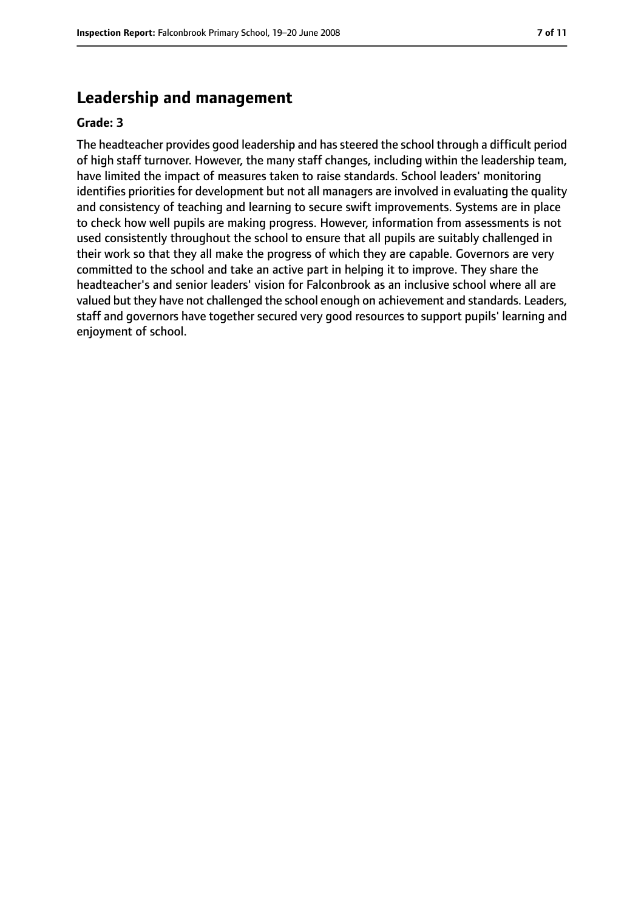## **Leadership and management**

#### **Grade: 3**

The headteacher provides good leadership and has steered the school through a difficult period of high staff turnover. However, the many staff changes, including within the leadership team, have limited the impact of measures taken to raise standards. School leaders' monitoring identifies priorities for development but not all managers are involved in evaluating the quality and consistency of teaching and learning to secure swift improvements. Systems are in place to check how well pupils are making progress. However, information from assessments is not used consistently throughout the school to ensure that all pupils are suitably challenged in their work so that they all make the progress of which they are capable. Governors are very committed to the school and take an active part in helping it to improve. They share the headteacher's and senior leaders' vision for Falconbrook as an inclusive school where all are valued but they have not challenged the school enough on achievement and standards. Leaders, staff and governors have together secured very good resources to support pupils' learning and enjoyment of school.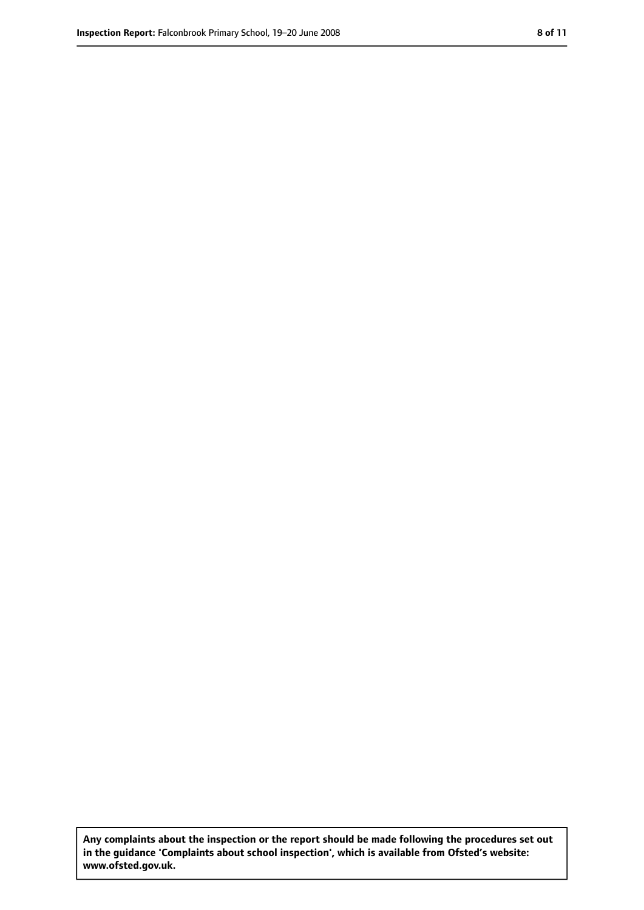**Any complaints about the inspection or the report should be made following the procedures set out in the guidance 'Complaints about school inspection', which is available from Ofsted's website: www.ofsted.gov.uk.**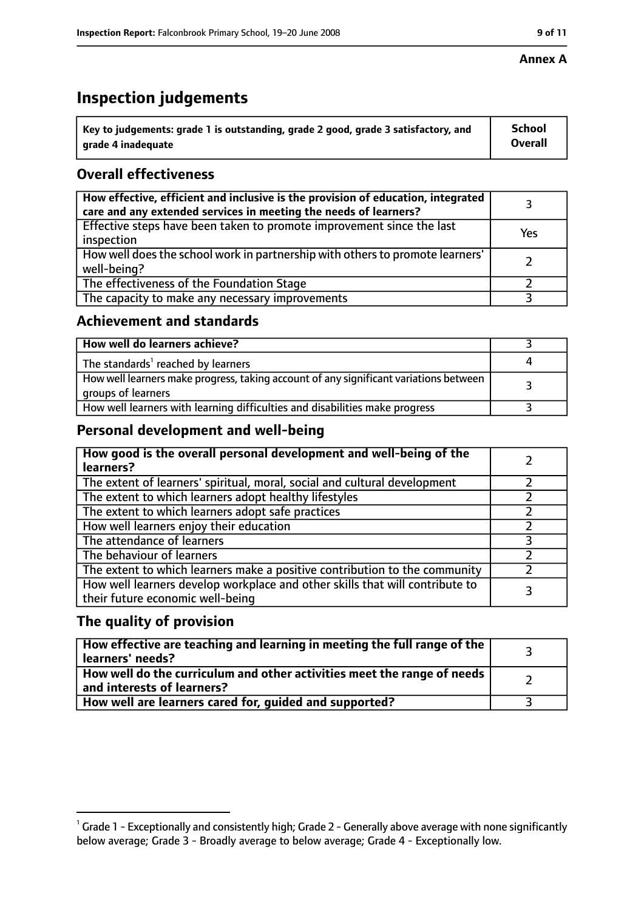#### **Annex A**

## **Inspection judgements**

| $^{\backprime}$ Key to judgements: grade 1 is outstanding, grade 2 good, grade 3 satisfactory, and | <b>School</b>  |
|----------------------------------------------------------------------------------------------------|----------------|
| arade 4 inadeguate                                                                                 | <b>Overall</b> |

## **Overall effectiveness**

| How effective, efficient and inclusive is the provision of education, integrated<br>care and any extended services in meeting the needs of learners? |     |
|------------------------------------------------------------------------------------------------------------------------------------------------------|-----|
| Effective steps have been taken to promote improvement since the last<br>inspection                                                                  | Yes |
| How well does the school work in partnership with others to promote learners'<br>well-being?                                                         |     |
| The effectiveness of the Foundation Stage                                                                                                            |     |
| The capacity to make any necessary improvements                                                                                                      |     |

#### **Achievement and standards**

| How well do learners achieve?                                                                               |  |
|-------------------------------------------------------------------------------------------------------------|--|
| The standards <sup>1</sup> reached by learners                                                              |  |
| How well learners make progress, taking account of any significant variations between<br>groups of learners |  |
| How well learners with learning difficulties and disabilities make progress                                 |  |

## **Personal development and well-being**

| How good is the overall personal development and well-being of the<br>learners?                                  |  |
|------------------------------------------------------------------------------------------------------------------|--|
| The extent of learners' spiritual, moral, social and cultural development                                        |  |
| The extent to which learners adopt healthy lifestyles                                                            |  |
| The extent to which learners adopt safe practices                                                                |  |
| How well learners enjoy their education                                                                          |  |
| The attendance of learners                                                                                       |  |
| The behaviour of learners                                                                                        |  |
| The extent to which learners make a positive contribution to the community                                       |  |
| How well learners develop workplace and other skills that will contribute to<br>their future economic well-being |  |

## **The quality of provision**

| How effective are teaching and learning in meeting the full range of the<br>learners' needs?          |  |
|-------------------------------------------------------------------------------------------------------|--|
| How well do the curriculum and other activities meet the range of needs<br>and interests of learners? |  |
| How well are learners cared for, guided and supported?                                                |  |

 $^1$  Grade 1 - Exceptionally and consistently high; Grade 2 - Generally above average with none significantly below average; Grade 3 - Broadly average to below average; Grade 4 - Exceptionally low.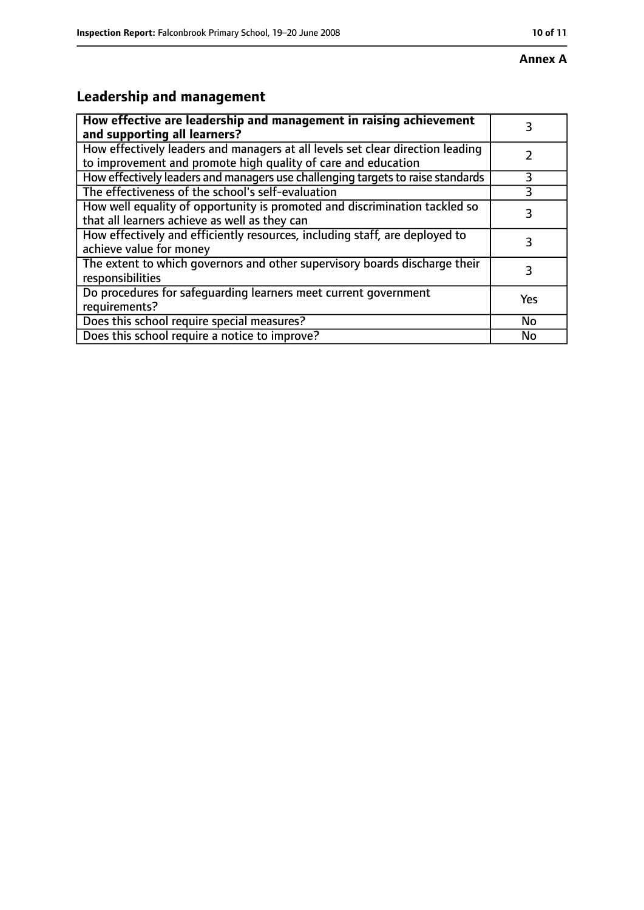# **Leadership and management**

| How effective are leadership and management in raising achievement<br>and supporting all learners?                                              | 3   |
|-------------------------------------------------------------------------------------------------------------------------------------------------|-----|
| How effectively leaders and managers at all levels set clear direction leading<br>to improvement and promote high quality of care and education |     |
| How effectively leaders and managers use challenging targets to raise standards                                                                 | 3   |
| The effectiveness of the school's self-evaluation                                                                                               |     |
| How well equality of opportunity is promoted and discrimination tackled so<br>that all learners achieve as well as they can                     | 3   |
| How effectively and efficiently resources, including staff, are deployed to<br>achieve value for money                                          | 3   |
| The extent to which governors and other supervisory boards discharge their<br>responsibilities                                                  | 3   |
| Do procedures for safequarding learners meet current government<br>requirements?                                                                | Yes |
| Does this school require special measures?                                                                                                      | No  |
| Does this school require a notice to improve?                                                                                                   | No  |